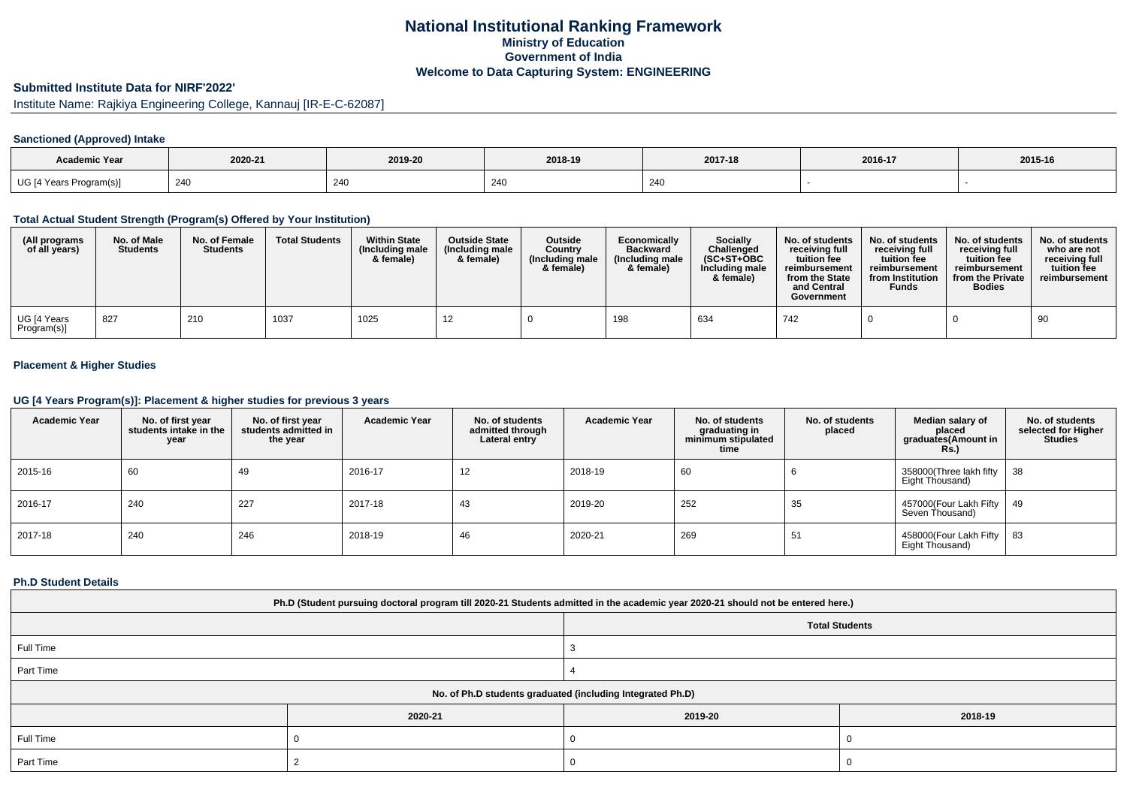## **National Institutional Ranking FrameworkMinistry of Education Government of IndiaWelcome to Data Capturing System: ENGINEERING**

# **Submitted Institute Data for NIRF'2022'**

Institute Name: Rajkiya Engineering College, Kannauj [IR-E-C-62087]

#### **Sanctioned (Approved) Intake**

| <b>Academic Year</b>    |         |         |                        |         |         |         |
|-------------------------|---------|---------|------------------------|---------|---------|---------|
|                         | 2020-21 | 2019-20 | 2018-19                | 2017-18 | 2016-17 | 2015-16 |
| UG [4 Years Program(s)] | 240     | 240     | $\Omega$<br><b>Z41</b> | 240     |         |         |

#### **Total Actual Student Strength (Program(s) Offered by Your Institution)**

| (All programs<br>of all years) | No. of Male<br><b>Students</b> | No. of Female<br><b>Students</b> | <b>Total Students</b> | <b>Within State</b><br>(Including male<br>& female) | <b>Outside State</b><br>(Including male<br>& female) | <b>Outside</b><br>Country<br>(Including male<br>& female) | Economically<br><b>Backward</b><br>(Including male<br>& female) | <b>Socially</b><br>Challenged<br>$(SC+ST+OBC)$<br>Including male<br>& female) | No. of students<br>receiving full<br>tuition fee<br>reimbursement<br>from the State<br>and Central<br>Government | No. of students<br>receiving full<br>tuition fee<br>reimbursement<br>from Institution<br><b>Funds</b> | No. of students<br>receiving full<br>tuition fee<br>reimbursement<br>from the Private<br><b>Bodies</b> | No. of students<br>who are not<br>receiving full<br>tuition fee<br>reimbursement |
|--------------------------------|--------------------------------|----------------------------------|-----------------------|-----------------------------------------------------|------------------------------------------------------|-----------------------------------------------------------|-----------------------------------------------------------------|-------------------------------------------------------------------------------|------------------------------------------------------------------------------------------------------------------|-------------------------------------------------------------------------------------------------------|--------------------------------------------------------------------------------------------------------|----------------------------------------------------------------------------------|
| UG [4 Years<br>Program(s)]     | 827                            | 210                              | 1037                  | 1025                                                | -12                                                  |                                                           | 198                                                             | 634                                                                           | 742                                                                                                              |                                                                                                       |                                                                                                        | 90                                                                               |

#### **Placement & Higher Studies**

#### **UG [4 Years Program(s)]: Placement & higher studies for previous 3 years**

| <b>Academic Year</b> | No. of first year<br>students intake in the<br>year | No. of first year<br>students admitted in<br>the year | <b>Academic Year</b> | No. of students<br>admitted through<br>Lateral entry | <b>Academic Year</b> | No. of students<br>graduating in<br>minimum stipulated<br>time | No. of students<br>placed | Median salary of<br>placed<br>graduates(Amount in<br>Rs.) | No. of students<br>selected for Higher<br><b>Studies</b> |
|----------------------|-----------------------------------------------------|-------------------------------------------------------|----------------------|------------------------------------------------------|----------------------|----------------------------------------------------------------|---------------------------|-----------------------------------------------------------|----------------------------------------------------------|
| 2015-16              | 60                                                  | 49                                                    | 2016-17              | 12                                                   | 2018-19              | 60                                                             |                           | 358000(Three lakh fifty<br>Eight Thousand)                | l 38                                                     |
| 2016-17              | 240                                                 | 227                                                   | 2017-18              | 43                                                   | 2019-20              | 252                                                            | 35                        | 457000(Four Lakh Fifty   49<br>Seven Thousand)            |                                                          |
| 2017-18              | 240                                                 | 246                                                   | 2018-19              | 46                                                   | 2020-21              | 269                                                            | 51                        | 458000(Four Lakh Fifty<br>Eight Thousand)                 | 83                                                       |

#### **Ph.D Student Details**

| Ph.D (Student pursuing doctoral program till 2020-21 Students admitted in the academic year 2020-21 should not be entered here.) |                                                            |                       |         |  |  |  |  |
|----------------------------------------------------------------------------------------------------------------------------------|------------------------------------------------------------|-----------------------|---------|--|--|--|--|
|                                                                                                                                  |                                                            | <b>Total Students</b> |         |  |  |  |  |
| Full Time                                                                                                                        |                                                            |                       |         |  |  |  |  |
| Part Time                                                                                                                        |                                                            |                       |         |  |  |  |  |
|                                                                                                                                  | No. of Ph.D students graduated (including Integrated Ph.D) |                       |         |  |  |  |  |
|                                                                                                                                  | 2020-21                                                    | 2019-20               | 2018-19 |  |  |  |  |
| Full Time                                                                                                                        |                                                            |                       |         |  |  |  |  |
| Part Time                                                                                                                        |                                                            |                       |         |  |  |  |  |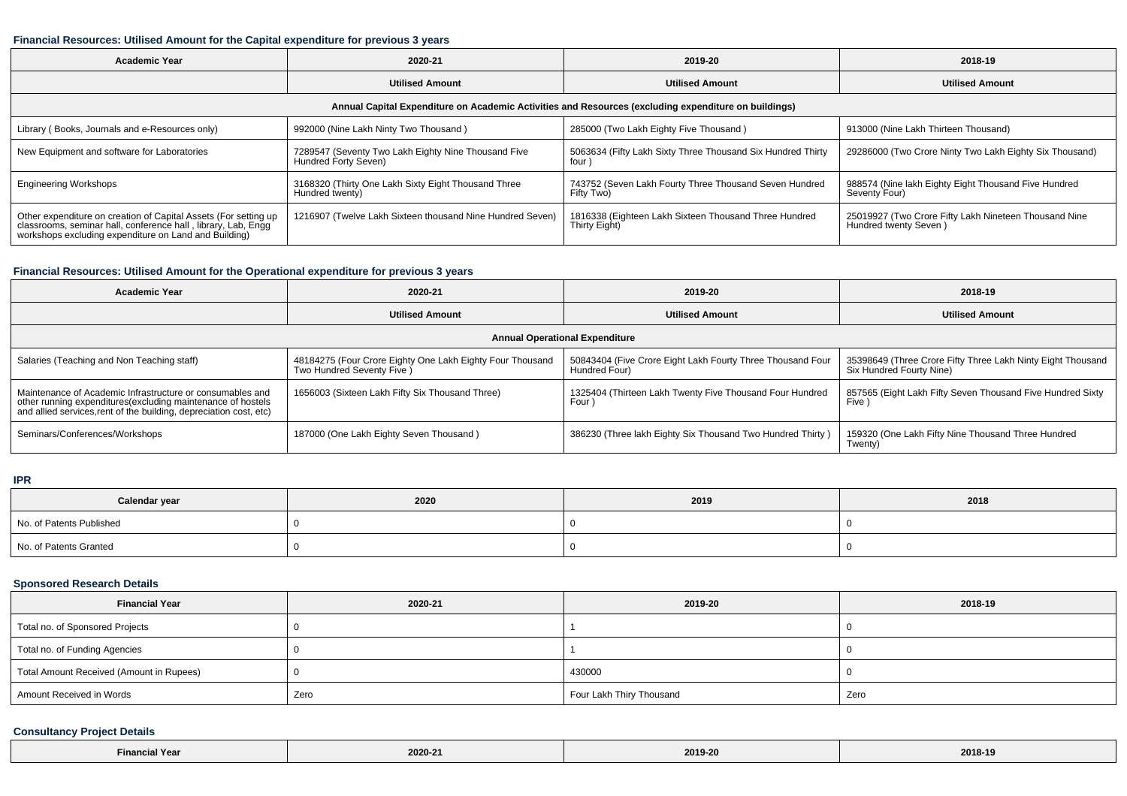#### **Financial Resources: Utilised Amount for the Capital expenditure for previous 3 years**

| <b>Academic Year</b>                                                                                                                                                                      | 2020-21                                                                     | 2019-20                                                                | 2018-19                                                                        |  |  |  |  |  |
|-------------------------------------------------------------------------------------------------------------------------------------------------------------------------------------------|-----------------------------------------------------------------------------|------------------------------------------------------------------------|--------------------------------------------------------------------------------|--|--|--|--|--|
|                                                                                                                                                                                           | <b>Utilised Amount</b>                                                      | <b>Utilised Amount</b>                                                 | <b>Utilised Amount</b>                                                         |  |  |  |  |  |
| Annual Capital Expenditure on Academic Activities and Resources (excluding expenditure on buildings)                                                                                      |                                                                             |                                                                        |                                                                                |  |  |  |  |  |
| Library (Books, Journals and e-Resources only)                                                                                                                                            | 992000 (Nine Lakh Ninty Two Thousand)                                       | 285000 (Two Lakh Eighty Five Thousand)                                 | 913000 (Nine Lakh Thirteen Thousand)                                           |  |  |  |  |  |
| New Equipment and software for Laboratories                                                                                                                                               | 7289547 (Seventy Two Lakh Eighty Nine Thousand Five<br>Hundred Forty Seven) | 5063634 (Fifty Lakh Sixty Three Thousand Six Hundred Thirty<br>four )  | 29286000 (Two Crore Ninty Two Lakh Eighty Six Thousand)                        |  |  |  |  |  |
| <b>Engineering Workshops</b>                                                                                                                                                              | 3168320 (Thirty One Lakh Sixty Eight Thousand Three<br>Hundred twenty)      | 743752 (Seven Lakh Fourty Three Thousand Seven Hundred<br>Fifty Two)   | 988574 (Nine lakh Eighty Eight Thousand Five Hundred<br>Seventy Four)          |  |  |  |  |  |
| Other expenditure on creation of Capital Assets (For setting up<br>classrooms, seminar hall, conference hall, library, Lab, Engg<br>workshops excluding expenditure on Land and Building) | 1216907 (Twelve Lakh Sixteen thousand Nine Hundred Seven)                   | 1816338 (Eighteen Lakh Sixteen Thousand Three Hundred<br>Thirty Eight) | 25019927 (Two Crore Fifty Lakh Nineteen Thousand Nine<br>Hundred twenty Seven) |  |  |  |  |  |

#### **Financial Resources: Utilised Amount for the Operational expenditure for previous 3 years**

| <b>Academic Year</b>                                                                                                                                                                            | 2020-21                                                                                 | 2019-20                                                                     | 2018-19                                                                                 |  |  |  |  |  |  |
|-------------------------------------------------------------------------------------------------------------------------------------------------------------------------------------------------|-----------------------------------------------------------------------------------------|-----------------------------------------------------------------------------|-----------------------------------------------------------------------------------------|--|--|--|--|--|--|
|                                                                                                                                                                                                 | <b>Utilised Amount</b>                                                                  | <b>Utilised Amount</b>                                                      | <b>Utilised Amount</b>                                                                  |  |  |  |  |  |  |
| <b>Annual Operational Expenditure</b>                                                                                                                                                           |                                                                                         |                                                                             |                                                                                         |  |  |  |  |  |  |
| Salaries (Teaching and Non Teaching staff)                                                                                                                                                      | 48184275 (Four Crore Eighty One Lakh Eighty Four Thousand<br>Two Hundred Seventy Five ) | 50843404 (Five Crore Eight Lakh Fourty Three Thousand Four<br>Hundred Four) | 35398649 (Three Crore Fifty Three Lakh Ninty Eight Thousand<br>Six Hundred Fourty Nine) |  |  |  |  |  |  |
| Maintenance of Academic Infrastructure or consumables and<br>other running expenditures (excluding maintenance of hostels<br>and allied services, rent of the building, depreciation cost, etc) | 1656003 (Sixteen Lakh Fifty Six Thousand Three)                                         | 1325404 (Thirteen Lakh Twenty Five Thousand Four Hundred<br>Four            | 857565 (Eight Lakh Fifty Seven Thousand Five Hundred Sixty<br>Five '                    |  |  |  |  |  |  |
| Seminars/Conferences/Workshops                                                                                                                                                                  | 187000 (One Lakh Eighty Seven Thousand)                                                 | 386230 (Three lakh Eighty Six Thousand Two Hundred Thirty)                  | 159320 (One Lakh Fifty Nine Thousand Three Hundred<br>[wenty)                           |  |  |  |  |  |  |

**IPR**

| Calendar year            | 2020 | 2019 | 2018 |
|--------------------------|------|------|------|
| No. of Patents Published |      |      |      |
| No. of Patents Granted   |      |      |      |

## **Sponsored Research Details**

| <b>Financial Year</b>                    | 2020-21 | 2019-20                  | 2018-19 |
|------------------------------------------|---------|--------------------------|---------|
| Total no. of Sponsored Projects          |         |                          |         |
| Total no. of Funding Agencies            |         |                          |         |
| Total Amount Received (Amount in Rupees) |         | 430000                   |         |
| Amount Received in Words                 | Zero    | Four Lakh Thiry Thousand | Zero    |

### **Consultancy Project Details**

| Year<br>Financial<br>the contract of the contract of the | 2020-21 | ۔019-20<br>. | 2018-19<br>$- - - - -$ |
|----------------------------------------------------------|---------|--------------|------------------------|
|----------------------------------------------------------|---------|--------------|------------------------|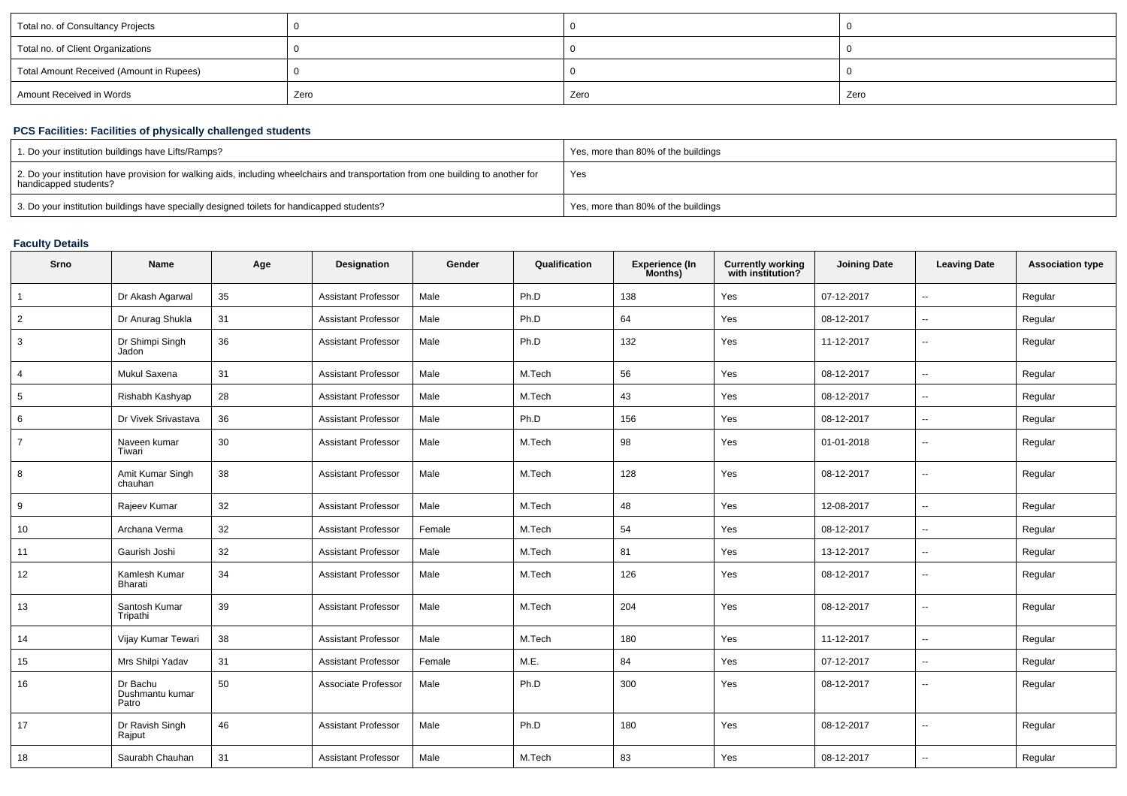| Total no. of Consultancy Projects        |      |      |      |
|------------------------------------------|------|------|------|
| Total no. of Client Organizations        |      |      |      |
| Total Amount Received (Amount in Rupees) |      |      |      |
| Amount Received in Words                 | Zero | Zero | Zero |

### **PCS Facilities: Facilities of physically challenged students**

| 1. Do your institution buildings have Lifts/Ramps?                                                                                                         | Yes, more than 80% of the buildings |
|------------------------------------------------------------------------------------------------------------------------------------------------------------|-------------------------------------|
| 2. Do your institution have provision for walking aids, including wheelchairs and transportation from one building to another for<br>handicapped students? | Yes                                 |
| 3. Do your institution buildings have specially designed toilets for handicapped students?                                                                 | Yes, more than 80% of the buildings |

#### **Faculty Details**

| Srno           | <b>Name</b>                          | Age | Designation                | Gender | Qualification | <b>Experience (In</b><br>Months) | <b>Currently working</b><br>with institution? | <b>Joining Date</b> | <b>Leaving Date</b>      | <b>Association type</b> |
|----------------|--------------------------------------|-----|----------------------------|--------|---------------|----------------------------------|-----------------------------------------------|---------------------|--------------------------|-------------------------|
|                | Dr Akash Agarwal                     | 35  | <b>Assistant Professor</b> | Male   | Ph.D          | 138                              | Yes                                           | 07-12-2017          | $\mathbf{u}$             | Regular                 |
| $\overline{2}$ | Dr Anurag Shukla                     | 31  | <b>Assistant Professor</b> | Male   | Ph.D          | 64                               | Yes                                           | 08-12-2017          | $\sim$                   | Regular                 |
| 3              | Dr Shimpi Singh<br>Jadon             | 36  | <b>Assistant Professor</b> | Male   | Ph.D          | 132                              | Yes                                           | 11-12-2017          | $\sim$                   | Regular                 |
| $\overline{4}$ | Mukul Saxena                         | 31  | <b>Assistant Professor</b> | Male   | M.Tech        | 56                               | Yes                                           | 08-12-2017          | $\sim$                   | Regular                 |
| 5              | Rishabh Kashyap                      | 28  | <b>Assistant Professor</b> | Male   | M.Tech        | 43                               | Yes                                           | 08-12-2017          | $\sim$                   | Regular                 |
| 6              | Dr Vivek Srivastava                  | 36  | <b>Assistant Professor</b> | Male   | Ph.D          | 156                              | Yes                                           | 08-12-2017          | $\sim$                   | Regular                 |
| $\overline{7}$ | Naveen kumar<br>Tiwari               | 30  | <b>Assistant Professor</b> | Male   | M.Tech        | 98                               | Yes                                           | 01-01-2018          | $\sim$                   | Regular                 |
| 8              | Amit Kumar Singh<br>chauhan          | 38  | <b>Assistant Professor</b> | Male   | M.Tech        | 128                              | Yes                                           | 08-12-2017          | $\sim$                   | Regular                 |
| 9              | Rajeev Kumar                         | 32  | <b>Assistant Professor</b> | Male   | M.Tech        | 48                               | Yes                                           | 12-08-2017          | $\sim$                   | Regular                 |
| 10             | Archana Verma                        | 32  | <b>Assistant Professor</b> | Female | M.Tech        | 54                               | Yes                                           | 08-12-2017          | $\sim$                   | Regular                 |
| 11             | Gaurish Joshi                        | 32  | <b>Assistant Professor</b> | Male   | M.Tech        | 81                               | Yes                                           | 13-12-2017          | $\sim$                   | Regular                 |
| 12             | Kamlesh Kumar<br><b>Bharati</b>      | 34  | <b>Assistant Professor</b> | Male   | M.Tech        | 126                              | Yes                                           | 08-12-2017          | $\sim$                   | Regular                 |
| 13             | Santosh Kumar<br>Tripathi            | 39  | <b>Assistant Professor</b> | Male   | M.Tech        | 204                              | Yes                                           | 08-12-2017          | $\sim$                   | Regular                 |
| 14             | Vijay Kumar Tewari                   | 38  | <b>Assistant Professor</b> | Male   | M.Tech        | 180                              | Yes                                           | 11-12-2017          | $\sim$                   | Regular                 |
| 15             | Mrs Shilpi Yadav                     | 31  | <b>Assistant Professor</b> | Female | M.E.          | 84                               | Yes                                           | 07-12-2017          | $\sim$                   | Regular                 |
| 16             | Dr Bachu<br>Dushmantu kumar<br>Patro | 50  | Associate Professor        | Male   | Ph.D          | 300                              | Yes                                           | 08-12-2017          | $\overline{\phantom{a}}$ | Regular                 |
| 17             | Dr Ravish Singh<br>Rajput            | 46  | <b>Assistant Professor</b> | Male   | Ph.D          | 180                              | Yes                                           | 08-12-2017          | $\overline{\phantom{a}}$ | Regular                 |
| 18             | Saurabh Chauhan                      | 31  | <b>Assistant Professor</b> | Male   | M.Tech        | 83                               | Yes                                           | 08-12-2017          | $\mathbf{u}$             | Regular                 |